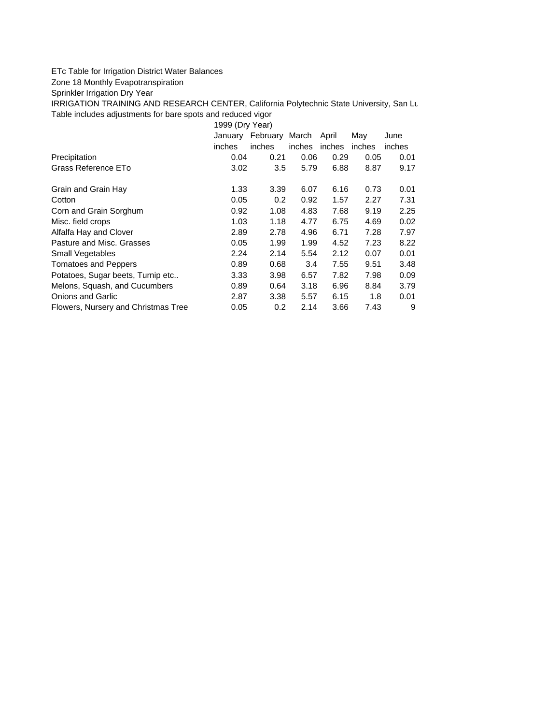## ETc Table for Irrigation District Water Balances

Zone 18 Monthly Evapotranspiration

Sprinkler Irrigation Dry Year

IRRIGATION TRAINING AND RESEARCH CENTER, California Polytechnic State University, San Lu Table includes adjustments for bare spots and reduced vigor

1999 (Dry Year)

|                                     | January       | February | March  | April  | Mav    | June   |
|-------------------------------------|---------------|----------|--------|--------|--------|--------|
|                                     | <i>inches</i> | inches   | inches | inches | inches | inches |
| Precipitation                       | 0.04          | 0.21     | 0.06   | 0.29   | 0.05   | 0.01   |
| Grass Reference ETo                 | 3.02          | 3.5      | 5.79   | 6.88   | 8.87   | 9.17   |
| Grain and Grain Hay                 | 1.33          | 3.39     | 6.07   | 6.16   | 0.73   | 0.01   |
| Cotton                              | 0.05          | 0.2      | 0.92   | 1.57   | 2.27   | 7.31   |
| Corn and Grain Sorghum              | 0.92          | 1.08     | 4.83   | 7.68   | 9.19   | 2.25   |
| Misc. field crops                   | 1.03          | 1.18     | 4.77   | 6.75   | 4.69   | 0.02   |
| Alfalfa Hay and Clover              | 2.89          | 2.78     | 4.96   | 6.71   | 7.28   | 7.97   |
| Pasture and Misc. Grasses           | 0.05          | 1.99     | 1.99   | 4.52   | 7.23   | 8.22   |
| Small Vegetables                    | 2.24          | 2.14     | 5.54   | 2.12   | 0.07   | 0.01   |
| <b>Tomatoes and Peppers</b>         | 0.89          | 0.68     | 3.4    | 7.55   | 9.51   | 3.48   |
| Potatoes, Sugar beets, Turnip etc   | 3.33          | 3.98     | 6.57   | 7.82   | 7.98   | 0.09   |
| Melons, Squash, and Cucumbers       | 0.89          | 0.64     | 3.18   | 6.96   | 8.84   | 3.79   |
| <b>Onions and Garlic</b>            | 2.87          | 3.38     | 5.57   | 6.15   | 1.8    | 0.01   |
| Flowers, Nursery and Christmas Tree | 0.05          | 0.2      | 2.14   | 3.66   | 7.43   | 9      |